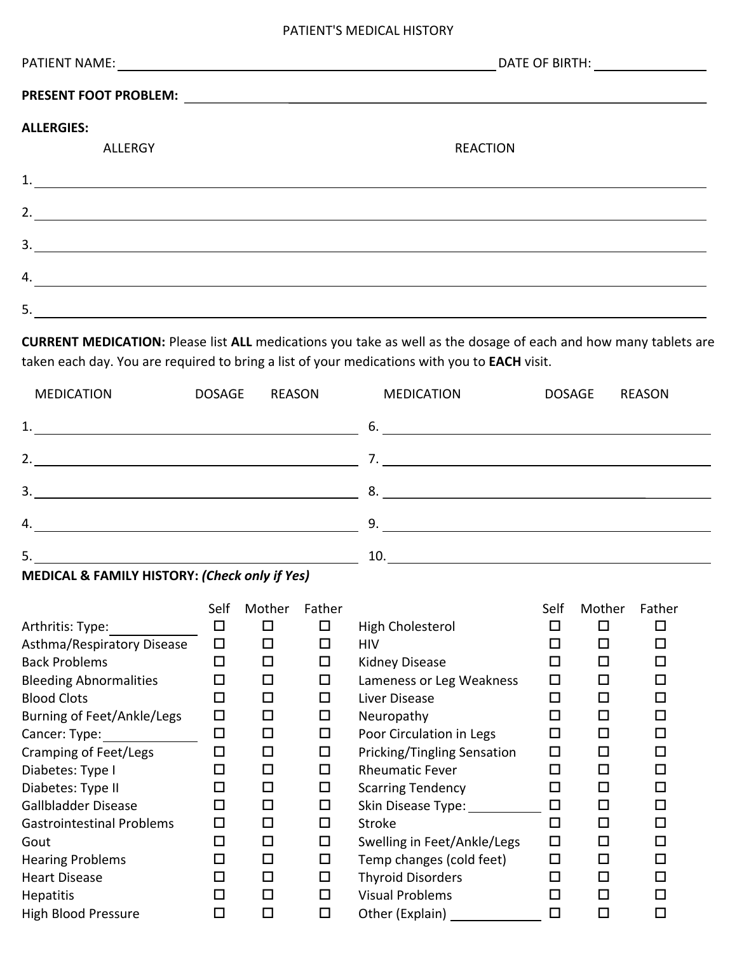## PATIENT'S MEDICAL HISTORY

| PATIENT NAME:<br><u> 1980 - Jan Samuel Barbara, martin da shekara 1980 - An tsara 1980 - An tsara 1980 - An tsara 1980 - An tsara</u> | DATE OF BIRTH: NOTE: |  |  |
|---------------------------------------------------------------------------------------------------------------------------------------|----------------------|--|--|
| <b>PRESENT FOOT PROBLEM:</b>                                                                                                          |                      |  |  |
| <b>ALLERGIES:</b>                                                                                                                     |                      |  |  |
| <b>ALLERGY</b>                                                                                                                        | <b>REACTION</b>      |  |  |
| 1.                                                                                                                                    |                      |  |  |
| 2.                                                                                                                                    |                      |  |  |
| 3.                                                                                                                                    |                      |  |  |
| 4.                                                                                                                                    |                      |  |  |
| 5.                                                                                                                                    |                      |  |  |

**CURRENT MEDICATION:** Please list **ALL** medications you take as well as the dosage of each and how many tablets are taken each day. You are required to bring a list of your medications with you to **EACH** visit.

| <b>MEDICATION</b> | <b>DOSAGE</b> | REASON | <b>MEDICATION</b> | <b>DOSAGE</b> | <b>REASON</b> |
|-------------------|---------------|--------|-------------------|---------------|---------------|
|                   |               |        |                   |               |               |
| 2.                |               |        |                   |               |               |
| 3.                |               |        | 8.                |               |               |
| 4.                |               |        | 9.                |               |               |
| 5.                |               |        | 10.               |               |               |

| MEDICAL & FAMILY HISTORY: (Check only if Yes) |  |
|-----------------------------------------------|--|
|-----------------------------------------------|--|

|                                  | Self   | Mother | Father |                              | Self                        | Mother | Father |
|----------------------------------|--------|--------|--------|------------------------------|-----------------------------|--------|--------|
| Arthritis: Type:                 | $\Box$ | □      | □      | High Cholesterol             | $\mathcal{L}_{\mathcal{A}}$ | □      | ΙI     |
| Asthma/Respiratory Disease       | $\Box$ | □      | □      | HIV                          | $\Box$                      | □      | □      |
| <b>Back Problems</b>             | $\Box$ | □      | □      | Kidney Disease               | $\Box$                      | $\Box$ | □      |
| <b>Bleeding Abnormalities</b>    | $\Box$ | □      | $\Box$ | Lameness or Leg Weakness     | $\Box$                      | □      | □      |
| <b>Blood Clots</b>               | □      | □      | $\Box$ | Liver Disease                | □                           | □      | □      |
| Burning of Feet/Ankle/Legs       | $\Box$ | □      | □      | Neuropathy                   | □                           | □      | □      |
| Cancer: Type:                    | $\Box$ | □      | $\Box$ | Poor Circulation in Legs     | □                           | □      | □      |
| <b>Cramping of Feet/Legs</b>     | □      | □      | □      | Pricking/Tingling Sensation  | $\Box$                      | П      | П      |
| Diabetes: Type I                 | □      | □      | □      | <b>Rheumatic Fever</b>       | П                           | □      | □      |
| Diabetes: Type II                | $\Box$ | □      | □      | <b>Scarring Tendency</b>     | L.                          | □      | □      |
| Gallbladder Disease              | $\Box$ | □      | □      | Skin Disease Type: _________ | $\Box$                      | □      | □      |
| <b>Gastrointestinal Problems</b> | $\Box$ | □      | □      | <b>Stroke</b>                | □                           | □      | □      |
| Gout                             | □      | □      | □      | Swelling in Feet/Ankle/Legs  | $\Box$                      | □      | ◻      |
| <b>Hearing Problems</b>          | □      | □      | □      | Temp changes (cold feet)     | $\Box$                      | □      | □      |
| <b>Heart Disease</b>             | □      | □      | □      | <b>Thyroid Disorders</b>     | $\Box$                      | □      | □      |
| <b>Hepatitis</b>                 | □      | □      | □      | <b>Visual Problems</b>       | $\Box$                      | □      | П      |
| <b>High Blood Pressure</b>       | $\Box$ | ◻      | □      | Other (Explain)              | $\Box$                      | $\Box$ | Π      |